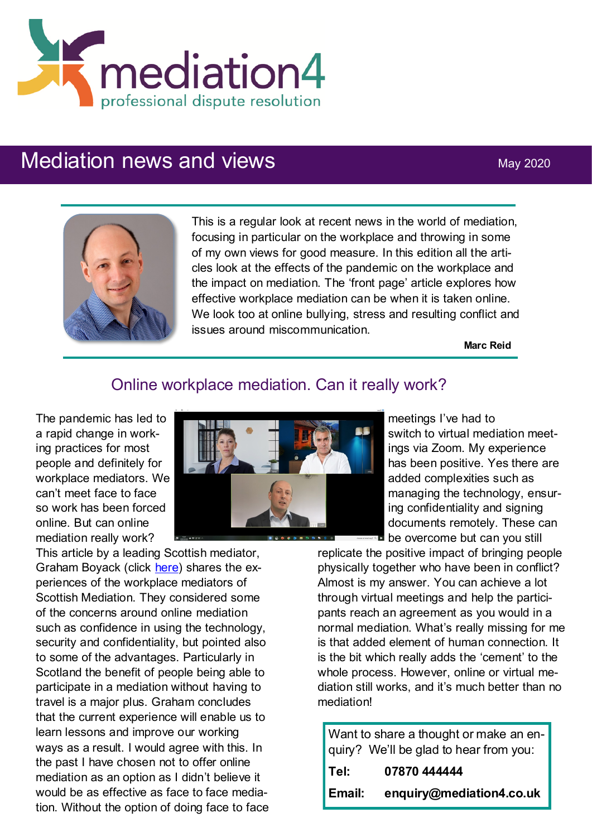

# Mediation news and views May 2020



This is a regular look at recent news in the world of mediation, focusing in particular on the workplace and throwing in some of my own views for good measure. In this edition all the articles look at the effects of the pandemic on the workplace and the impact on mediation. The 'front page' article explores how effective workplace mediation can be when it is taken online. We look too at online bullying, stress and resulting conflict and issues around miscommunication.

**Marc Reid**

#### Online workplace mediation. Can it really work?

The pandemic has led to a rapid change in working practices for most people and definitely for workplace mediators. We can't meet face to face so work has been forced online. But can online mediation really work?

This article by a leading Scottish mediator, Graham Boyack (click [here\)](https://www.scottishlegal.com/article/graham-boyack-great-opportunities-for-online-mediation) shares the experiences of the workplace mediators of Scottish Mediation. They considered some of the concerns around online mediation such as confidence in using the technology, security and confidentiality, but pointed also to some of the advantages. Particularly in Scotland the benefit of people being able to participate in a mediation without having to travel is a major plus. Graham concludes that the current experience will enable us to learn lessons and improve our working ways as a result. I would agree with this. In the past I have chosen not to offer online mediation as an option as I didn't believe it would be as effective as face to face mediation. Without the option of doing face to face



meetings I've had to switch to virtual mediation meetings via Zoom. My experience has been positive. Yes there are added complexities such as managing the technology, ensuring confidentiality and signing documents remotely. These can **be overcome but can you still** 

replicate the positive impact of bringing people physically together who have been in conflict? Almost is my answer. You can achieve a lot through virtual meetings and help the participants reach an agreement as you would in a normal mediation. What's really missing for me is that added element of human connection. It is the bit which really adds the 'cement' to the whole process. However, online or virtual mediation still works, and it's much better than no mediation!

Want to share a thought or make an enquiry? We'll be glad to hear from you:

| Tel:   | 07870 444444             |
|--------|--------------------------|
| Email: | enquiry@mediation4.co.uk |